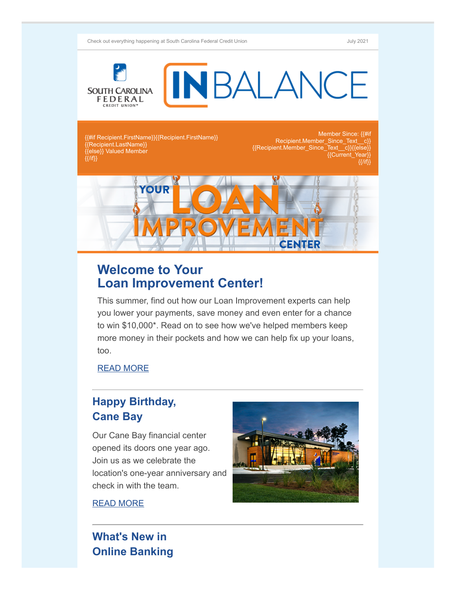Check out everything happening at South Carolina Federal Credit Union July 2021



{{#if Recipient.FirstName}}{{Recipient.FirstName}} {{Recipient.LastName}} {{else}} Valued Member  $\{\{I\}$ 

Member Since: {{#if Recipient.Member\_Since\_Text\_c}} {{Recipient.Member\_Since\_Text\_\_c}}{{else}} {{Current\_Year}}  $\{ {}/ | {\rm if} \}$ 



## **Welcome to Your Loan Improvement Center!**

This summer, find out how our Loan Improvement experts can help you lower your payments, save money and even enter for a chance to win \$10,000\*. Read on to see how we've helped members keep more money in their pockets and how we can help fix up your loans, too.

[READ MORE](https://www.scfederal.org/Blog/your-loan-improvement-center)

# **Happy Birthday, Cane Bay**

Our Cane Bay financial center opened its doors one year ago. Join us as we celebrate the location's one-year anniversary and check in with the team.

[READ MORE](https://www.scfederal.org/Blog/happy-birthday-cane-bay)



## **What's New in Online Banking**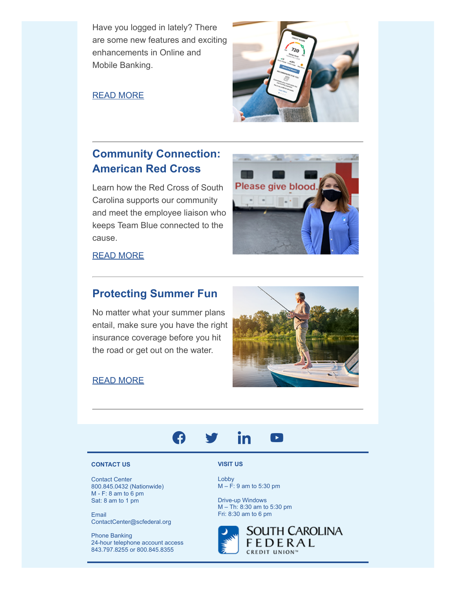Have you logged in lately? There are some new features and exciting enhancements in Online and Mobile Banking.

### [READ MORE](https://www.scfederal.org/Blog/new-olb-mobile)

## **Community Connection: American Red Cross**

Learn how the Red Cross of South Carolina supports our community and meet the employee liaison who keeps Team Blue connected to the cause.



[READ MORE](https://www.scfederal.org/Blog/red-cross)

## **Protecting Summer Fun**

No matter what your summer plans entail, make sure you have the right insurance coverage before you hit the road or get out on the water.

### [READ MORE](https://www.scfederal.org/Blog/insurance-boat-rv)



#### in  $\lceil$   $\blacktriangleright$   $\rceil$ 49

### **CONTACT US**

Contact Center 800.845.0432 (Nationwide)  $M - F$ : 8 am to 6 pm Sat: 8 am to 1 pm

Email ContactCenter@scfederal.org

Phone Banking 24-hour telephone account access 843.797.8255 or 800.845.8355

**VISIT US**

Lobby M – F: 9 am to 5:30 pm

Drive-up Windows M – Th: 8:30 am to 5:30 pm Fri: 8:30 am to 6 pm